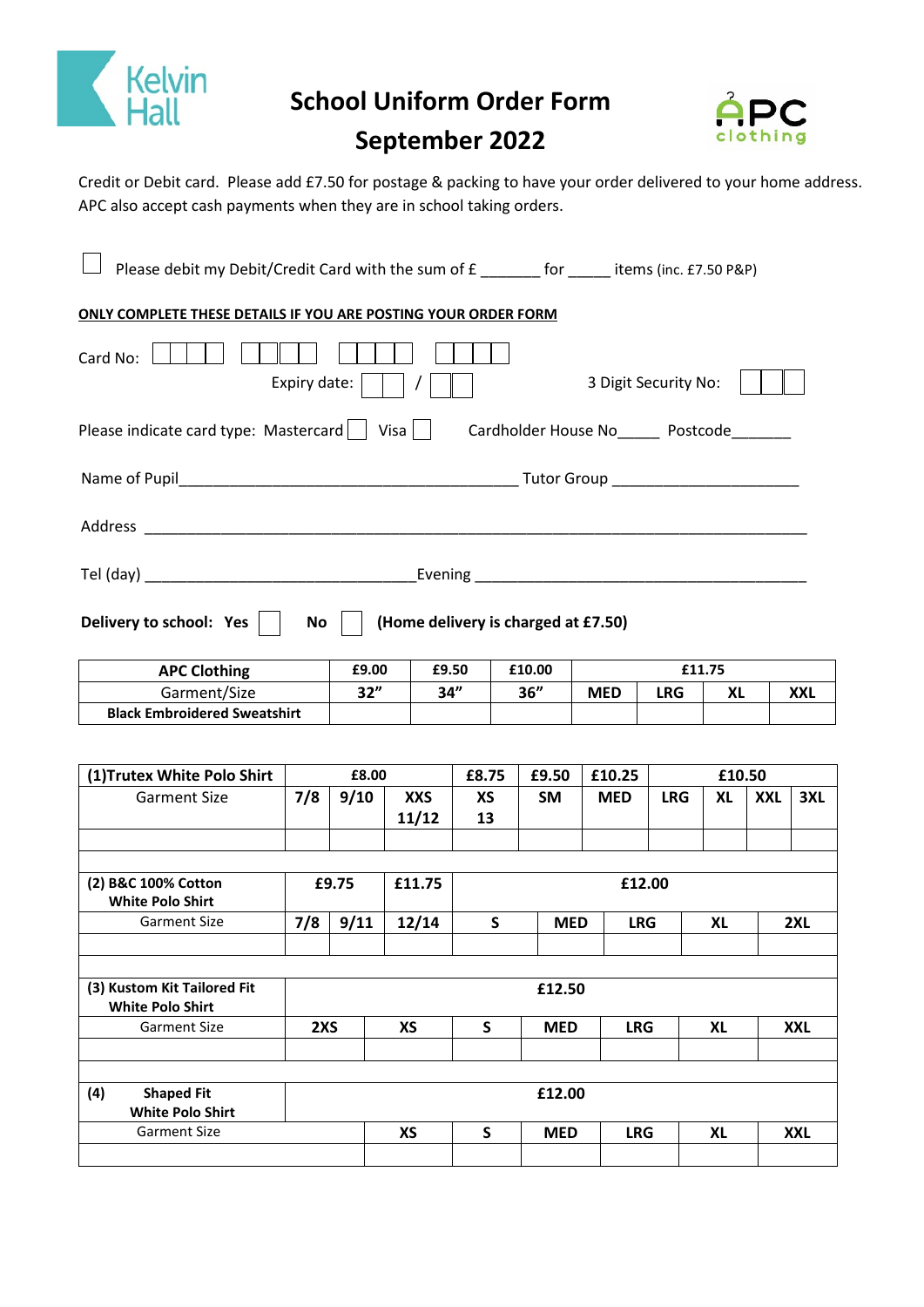

 **School Uniform Order Form** 



# **September 2022**

Credit or Debit card. Please add £7.50 for postage & packing to have your order delivered to your home address. APC also accept cash payments when they are in school taking orders.

| Please debit my Debit/Credit Card with the sum of £ _______ for _____ items (inc. £7.50 P&P)      |     |       |           |                     |              |            |            |            |            |           |     |            |  |
|---------------------------------------------------------------------------------------------------|-----|-------|-----------|---------------------|--------------|------------|------------|------------|------------|-----------|-----|------------|--|
| ONLY COMPLETE THESE DETAILS IF YOU ARE POSTING YOUR ORDER FORM                                    |     |       |           |                     |              |            |            |            |            |           |     |            |  |
| Card No:<br>Expiry date:<br>3 Digit Security No:                                                  |     |       |           |                     |              |            |            |            |            |           |     |            |  |
| Please indicate card type: Mastercard     Visa    <br>Cardholder House No_______ Postcode________ |     |       |           |                     |              |            |            |            |            |           |     |            |  |
|                                                                                                   |     |       |           |                     |              |            |            |            |            |           |     |            |  |
|                                                                                                   |     |       |           |                     |              |            |            |            |            |           |     |            |  |
|                                                                                                   |     |       |           |                     |              |            |            |            |            |           |     |            |  |
| Delivery to school: Yes<br>No<br>(Home delivery is charged at £7.50)                              |     |       |           |                     |              |            |            |            |            |           |     |            |  |
| <b>APC Clothing</b>                                                                               |     | £9.00 |           | £9.50               |              | £10.00     |            |            |            | £11.75    |     |            |  |
| Garment/Size                                                                                      |     | 32"   |           | 34"                 |              | 36"        | <b>MED</b> |            | <b>LRG</b> | <b>XL</b> |     | <b>XXL</b> |  |
| <b>Black Embroidered Sweatshirt</b>                                                               |     |       |           |                     |              |            |            |            |            |           |     |            |  |
|                                                                                                   |     |       |           |                     |              |            |            |            |            |           |     |            |  |
| (1) Trutex White Polo Shirt                                                                       |     | £8.00 |           |                     | £8.75        | £9.50      |            | £10.25     |            | £10.50    |     |            |  |
| <b>Garment Size</b>                                                                               | 7/8 | 9/10  |           | <b>XXS</b><br>11/12 | ХS<br>13     | SM         |            | <b>MED</b> | <b>LRG</b> | XL        | XXL | 3XL        |  |
| (2) B&C 100% Cotton                                                                               |     | £9.75 |           | £11.75              |              |            |            | £12.00     |            |           |     |            |  |
| <b>White Polo Shirt</b>                                                                           |     |       |           |                     |              |            |            |            |            |           |     |            |  |
| <b>Garment Size</b>                                                                               | 7/8 | 9/11  |           | 12/14               | S            | <b>MED</b> |            | <b>LRG</b> |            | XL        |     | 2XL        |  |
| (3) Kustom Kit Tailored Fit                                                                       |     |       |           |                     |              | £12.50     |            |            |            |           |     |            |  |
| <b>White Polo Shirt</b>                                                                           |     |       |           |                     |              |            |            |            |            |           |     |            |  |
| <b>Garment Size</b>                                                                               | 2XS |       | <b>XS</b> |                     | $\mathsf{S}$ | <b>MED</b> |            | <b>LRG</b> |            | <b>XL</b> |     | <b>XXL</b> |  |
|                                                                                                   |     |       |           |                     |              |            |            |            |            |           |     |            |  |
| <b>Shaped Fit</b><br>(4)<br><b>White Polo Shirt</b>                                               |     |       |           |                     |              | £12.00     |            |            |            |           |     |            |  |
| <b>Garment Size</b>                                                                               |     |       | <b>XS</b> |                     | S            | <b>MED</b> |            | <b>LRG</b> |            | <b>XL</b> |     | <b>XXL</b> |  |
|                                                                                                   |     |       |           |                     |              |            |            |            |            |           |     |            |  |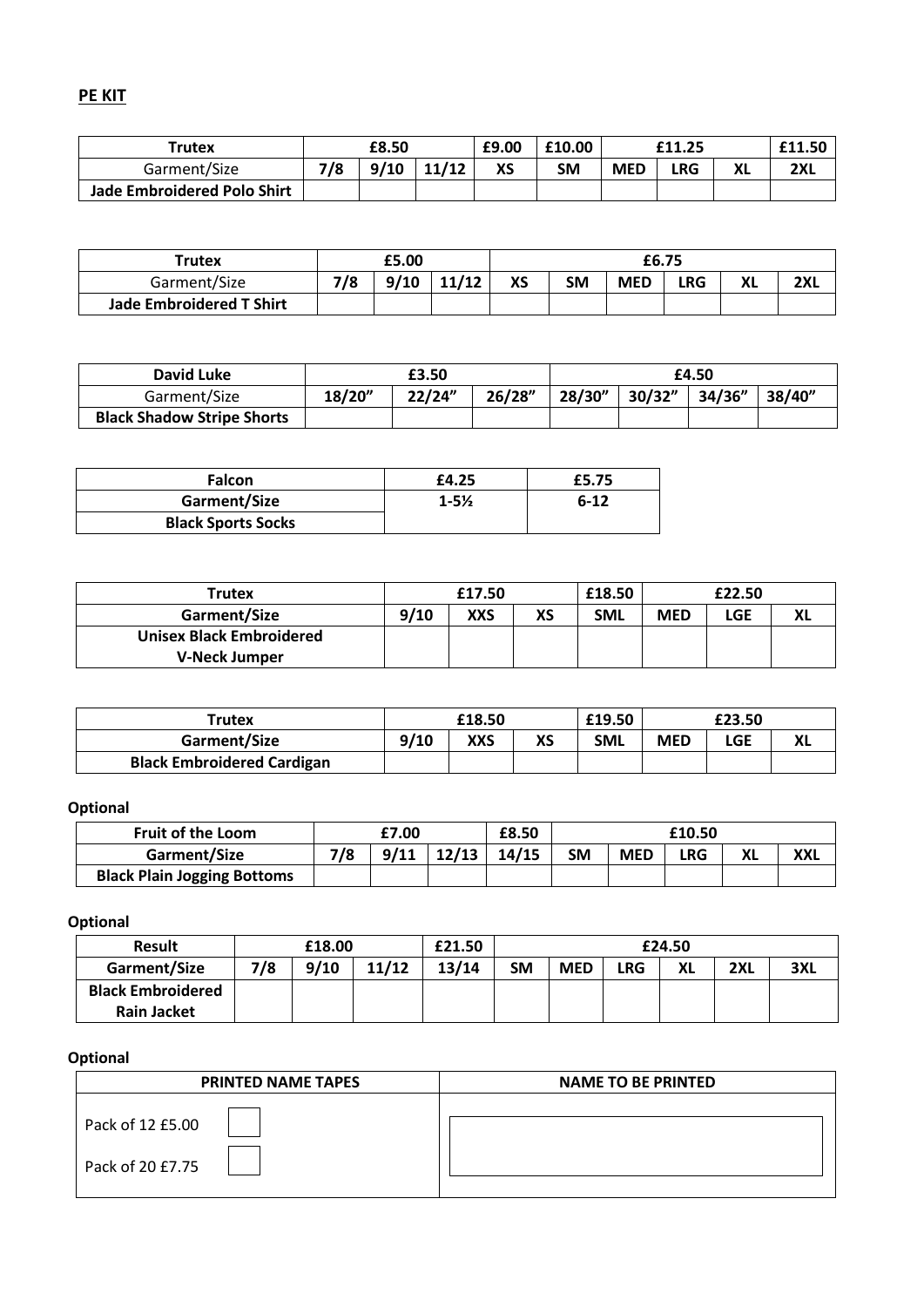**PE KIT**

| Trutex                             | £8.50 |      |       | £9.00 | £10.00 | £11.25     |     |    | £11.50 |
|------------------------------------|-------|------|-------|-------|--------|------------|-----|----|--------|
| Garment/Size                       | 7/8   | 9/10 | 11/12 | ХS    | SΜ     | <b>MED</b> | LRG | ΧL | 2XL    |
| <b>Jade Embroidered Polo Shirt</b> |       |      |       |       |        |            |     |    |        |

| Trutex                          | £5.00 |      |       | £6.75 |           |            |     |    |            |
|---------------------------------|-------|------|-------|-------|-----------|------------|-----|----|------------|
| Garment/Size                    | 7/8   | 9/10 | 11/12 | XS    | <b>SM</b> | <b>MED</b> | LRG | ΧL | า∨เ<br>LΛΙ |
| <b>Jade Embroidered T Shirt</b> |       |      |       |       |           |            |     |    |            |

| David Luke                        |        | £4.50  |        |        |        |        |        |
|-----------------------------------|--------|--------|--------|--------|--------|--------|--------|
| Garment/Size                      | 18/20" | 22/24" | 26/28" | 28/30" | 30/32" | 34/36" | 38/40" |
| <b>Black Shadow Stripe Shorts</b> |        |        |        |        |        |        |        |

| <b>Falcon</b>             | £4.25              | £5.75    |
|---------------------------|--------------------|----------|
| Garment/Size              | $1 - 5\frac{1}{2}$ | $6 - 12$ |
| <b>Black Sports Socks</b> |                    |          |

| <b>Trutex</b>                   | £17.50 |            |    | £18.50     | £22.50     |     |  |
|---------------------------------|--------|------------|----|------------|------------|-----|--|
| Garment/Size                    | 9/10   | <b>XXS</b> | XS | <b>SML</b> | <b>MED</b> | LGE |  |
| <b>Unisex Black Embroidered</b> |        |            |    |            |            |     |  |
| <b>V-Neck Jumper</b>            |        |            |    |            |            |     |  |

| Trutex                            |      | £18.50 |    | £19.50     | £23.50     |     |    |
|-----------------------------------|------|--------|----|------------|------------|-----|----|
| Garment/Size                      | 9/10 | XXS    | ХS | <b>SML</b> | <b>MED</b> | LGE | лL |
| <b>Black Embroidered Cardigan</b> |      |        |    |            |            |     |    |

# **Optional**

| <b>Fruit of the Loom</b>           | £7.00 |      |       | £8.50 | £10.50 |            |     |    |            |
|------------------------------------|-------|------|-------|-------|--------|------------|-----|----|------------|
| Garment/Size                       | 7/8   | 9/11 | 12/13 | 14/15 | SM     | <b>MED</b> | LRG | XL | <b>XXL</b> |
| <b>Black Plain Jogging Bottoms</b> |       |      |       |       |        |            |     |    |            |

**Optional**

| <b>Result</b>            | £18.00 |      |       | £21.50 |    |            |            |    |     |            |
|--------------------------|--------|------|-------|--------|----|------------|------------|----|-----|------------|
| Garment/Size             | 7/8    | 9/10 | 11/12 | 13/14  | SM | <b>MED</b> | <b>LRG</b> | XL | 2XL | nvı<br>ЗAL |
| <b>Black Embroidered</b> |        |      |       |        |    |            |            |    |     |            |
| Rain Jacket              |        |      |       |        |    |            |            |    |     |            |

## **Optional**

| <b>PRINTED NAME TAPES</b> | <b>NAME TO BE PRINTED</b> |
|---------------------------|---------------------------|
| Pack of 12 £5.00          |                           |
| Pack of 20 £7.75          |                           |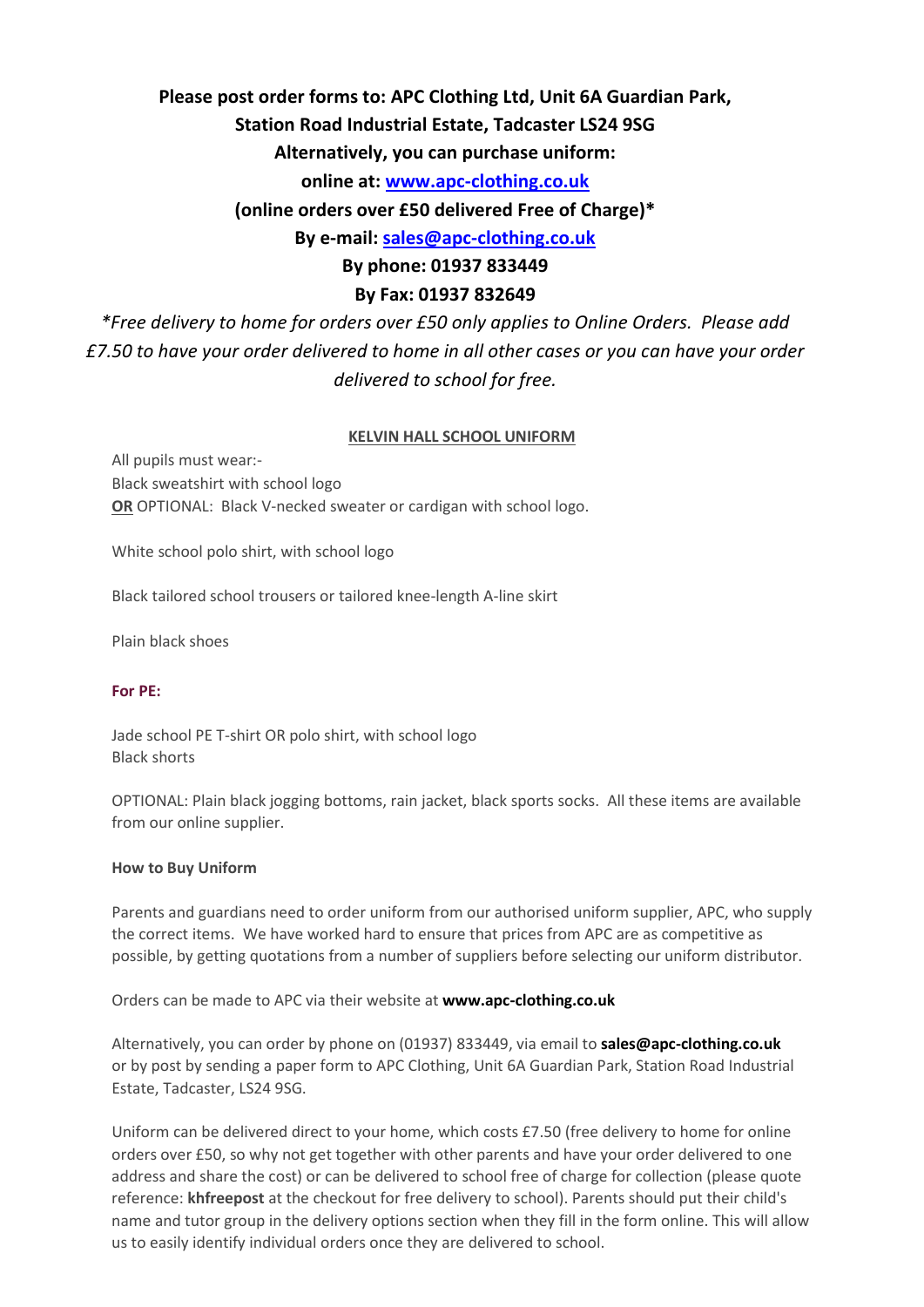# **Please post order forms to: APC Clothing Ltd, Unit 6A Guardian Park,**

# **Station Road Industrial Estate, Tadcaster LS24 9SG**

**Alternatively, you can purchase uniform:**

**online at: [www.apc-clothing.co.uk](http://www.apc-clothing.co.uk/)**

**(online orders over £50 delivered Free of Charge)\***

**By e-mail: [sales@apc-clothing.co.uk](mailto:sales@apc-clothing.co.uk)**

**By phone: 01937 833449** 

## **By Fax: 01937 832649**

*\*Free delivery to home for orders over £50 only applies to Online Orders. Please add £7.50 to have your order delivered to home in all other cases or you can have your order delivered to school for free.*

### **KELVIN HALL SCHOOL UNIFORM**

All pupils must wear:- Black sweatshirt with school logo **OR** OPTIONAL: Black V-necked sweater or cardigan with school logo.

White school polo shirt, with school logo

Black tailored school trousers or tailored knee-length A-line skirt

Plain black shoes

### **For PE:**

Jade school PE T-shirt OR polo shirt, with school logo Black shorts

OPTIONAL: Plain black jogging bottoms, rain jacket, black sports socks. All these items are available from our online supplier.

#### **How to Buy Uniform**

Parents and guardians need to order uniform from our authorised uniform supplier, APC, who supply the correct items. We have worked hard to ensure that prices from APC are as competitive as possible, by getting quotations from a number of suppliers before selecting our uniform distributor.

Orders can be made to APC via their website at **[www.apc-clothing.co.uk](http://www.apc-clothing.co.uk/)**

Alternatively, you can order by phone on (01937) 833449, via email to **[sales@apc-clothing.co.uk](mailto:sales@apc-clothing.co.uk)** or by post by sending a paper form to APC Clothing, Unit 6A Guardian Park, Station Road Industrial Estate, Tadcaster, LS24 9SG.

Uniform can be delivered direct to your home, which costs £7.50 (free delivery to home for online orders over £50, so why not get together with other parents and have your order delivered to one address and share the cost) or can be delivered to school free of charge for collection (please quote reference: **khfreepost** at the checkout for free delivery to school). Parents should put their child's name and tutor group in the delivery options section when they fill in the form online. This will allow us to easily identify individual orders once they are delivered to school.